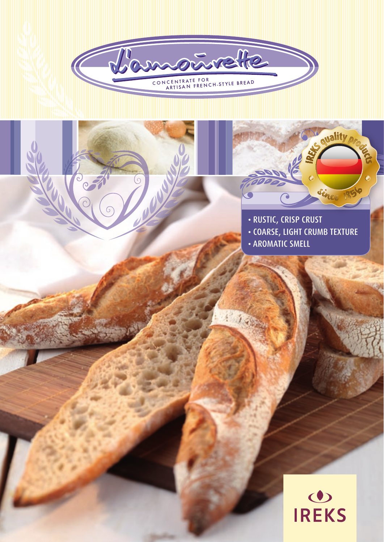



quality pr

Since 1850